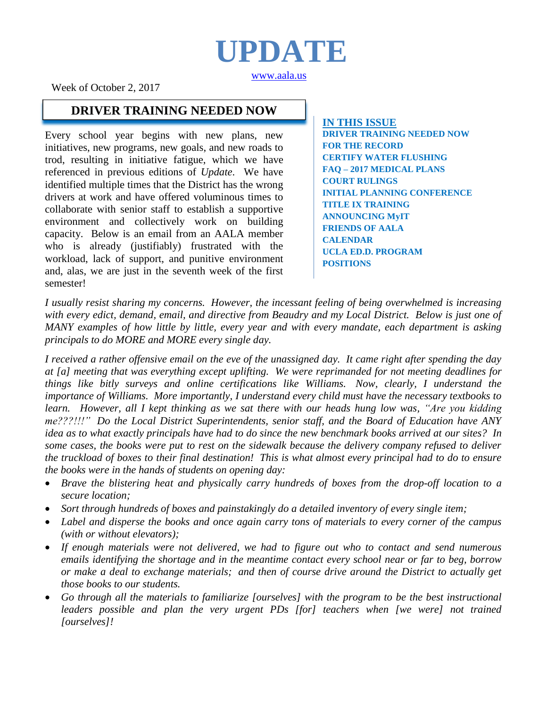# **UPDATE**

[www.aala.us](http://www.aala.us/)

Week of October 2, 2017

#### **DRIVER TRAINING NEEDED NOW**

Every school year begins with new plans, new initiatives, new programs, new goals, and new roads to trod, resulting in initiative fatigue, which we have referenced in previous editions of *Update*. We have identified multiple times that the District has the wrong drivers at work and have offered voluminous times to collaborate with senior staff to establish a supportive environment and collectively work on building capacity. Below is an email from an AALA member who is already (justifiably) frustrated with the workload, lack of support, and punitive environment and, alas, we are just in the seventh week of the first semester!

**IN THIS ISSUE DRIVER TRAINING NEEDED NOW FOR THE RECORD CERTIFY WATER FLUSHING FAQ – 2017 MEDICAL PLANS COURT RULINGS INITIAL PLANNING CONFERENCE TITLE IX TRAINING ANNOUNCING MyIT FRIENDS OF AALA CALENDAR UCLA ED.D. PROGRAM POSITIONS**

*I usually resist sharing my concerns. However, the incessant feeling of being overwhelmed is increasing with every edict, demand, email, and directive from Beaudry and my Local District. Below is just one of MANY examples of how little by little, every year and with every mandate, each department is asking principals to do MORE and MORE every single day.*

*I received a rather offensive email on the eve of the unassigned day. It came right after spending the day at [a] meeting that was everything except uplifting. We were reprimanded for not meeting deadlines for things like bitly surveys and online certifications like Williams. Now, clearly, I understand the importance of Williams. More importantly, I understand every child must have the necessary textbooks to learn. However, all I kept thinking as we sat there with our heads hung low was, "Are you kidding me???!!!" Do the Local District Superintendents, senior staff, and the Board of Education have ANY idea as to what exactly principals have had to do since the new benchmark books arrived at our sites? In some cases, the books were put to rest on the sidewalk because the delivery company refused to deliver the truckload of boxes to their final destination! This is what almost every principal had to do to ensure the books were in the hands of students on opening day:* 

- *Brave the blistering heat and physically carry hundreds of boxes from the drop-off location to a secure location;*
- *Sort through hundreds of boxes and painstakingly do a detailed inventory of every single item;*
- *Label and disperse the books and once again carry tons of materials to every corner of the campus (with or without elevators);*
- *If enough materials were not delivered, we had to figure out who to contact and send numerous emails identifying the shortage and in the meantime contact every school near or far to beg, borrow or make a deal to exchange materials; and then of course drive around the District to actually get those books to our students.*
- *Go through all the materials to familiarize [ourselves] with the program to be the best instructional leaders possible and plan the very urgent PDs [for] teachers when [we were] not trained [ourselves]!*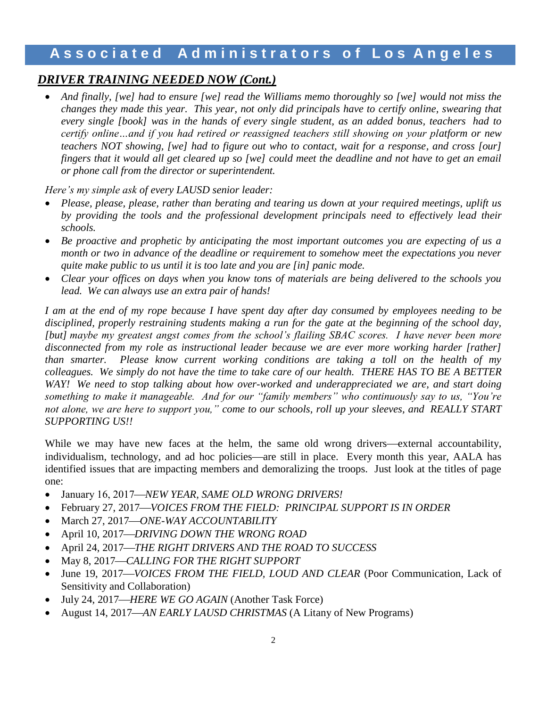#### *DRIVER TRAINING NEEDED NOW (Cont.)*

 *And finally, [we] had to ensure [we] read the Williams memo thoroughly so [we] would not miss the changes they made this year. This year, not only did principals have to certify online, swearing that every single [book] was in the hands of every single student, as an added bonus, teachers had to certify online…and if you had retired or reassigned teachers still showing on your platform or new teachers NOT showing, [we] had to figure out who to contact, wait for a response, and cross [our] fingers that it would all get cleared up so [we] could meet the deadline and not have to get an email or phone call from the director or superintendent.*

*Here's my simple ask of every LAUSD senior leader:* 

- *Please, please, please, rather than berating and tearing us down at your required meetings, uplift us by providing the tools and the professional development principals need to effectively lead their schools.*
- *Be proactive and prophetic by anticipating the most important outcomes you are expecting of us a month or two in advance of the deadline or requirement to somehow meet the expectations you never quite make public to us until it is too late and you are [in] panic mode.*
- *Clear your offices on days when you know tons of materials are being delivered to the schools you lead. We can always use an extra pair of hands!*

*I am at the end of my rope because I have spent day after day consumed by employees needing to be disciplined, properly restraining students making a run for the gate at the beginning of the school day, [but] maybe my greatest angst comes from the school's flailing SBAC scores. I have never been more disconnected from my role as instructional leader because we are ever more working harder [rather] than smarter. Please know current working conditions are taking a toll on the health of my colleagues. We simply do not have the time to take care of our health. THERE HAS TO BE A BETTER WAY! We need to stop talking about how over-worked and underappreciated we are, and start doing something to make it manageable. And for our "family members" who continuously say to us, "You're not alone, we are here to support you," come to our schools, roll up your sleeves, and REALLY START SUPPORTING US!!*

While we may have new faces at the helm, the same old wrong drivers—external accountability, individualism, technology, and ad hoc policies—are still in place. Every month this year, AALA has identified issues that are impacting members and demoralizing the troops. Just look at the titles of page one:

- January 16, 2017—NEW YEAR, SAME OLD WRONG DRIVERS!
- February 27, 2017—*VOICES FROM THE FIELD: PRINCIPAL SUPPORT IS IN ORDER*
- March 27, 2017*ONE-WAY ACCOUNTABILITY*
- April 10, 2017*DRIVING DOWN THE WRONG ROAD*
- April 24, 2017—THE RIGHT DRIVERS AND THE ROAD TO SUCCESS
- $\bullet$  May 8, 2017—CALLING FOR THE RIGHT SUPPORT
- June 19, 2017-*VOICES FROM THE FIELD, LOUD AND CLEAR* (Poor Communication, Lack of Sensitivity and Collaboration)
- July 24, 2017*HERE WE GO AGAIN* (Another Task Force)
- August 14, 2017—AN EARLY LAUSD CHRISTMAS (A Litany of New Programs)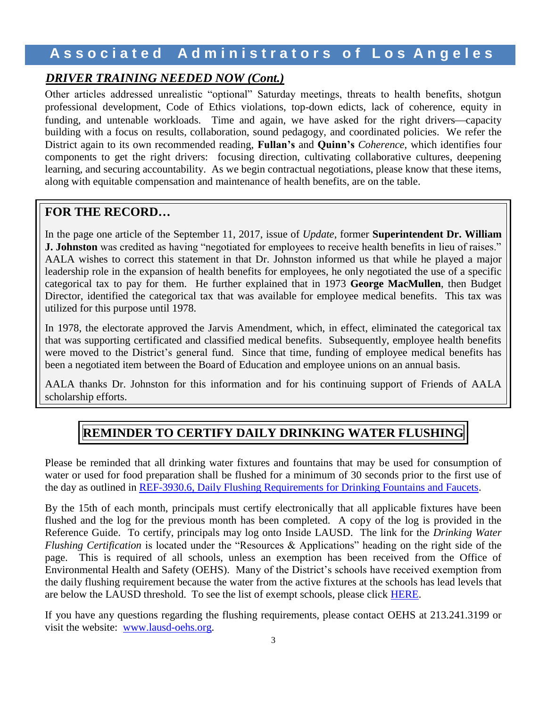#### *DRIVER TRAINING NEEDED NOW (Cont.)*

Other articles addressed unrealistic "optional" Saturday meetings, threats to health benefits, shotgun professional development, Code of Ethics violations, top-down edicts, lack of coherence, equity in funding, and untenable workloads. Time and again, we have asked for the right drivers—capacity building with a focus on results, collaboration, sound pedagogy, and coordinated policies. We refer the District again to its own recommended reading, **Fullan's** and **Quinn's** *Coherence*, which identifies four components to get the right drivers: focusing direction, cultivating collaborative cultures, deepening learning, and securing accountability. As we begin contractual negotiations, please know that these items, along with equitable compensation and maintenance of health benefits, are on the table.

#### **FOR THE RECORD…**

In the page one article of the September 11, 2017, issue of *Update*, former **Superintendent Dr. William J. Johnston** was credited as having "negotiated for employees to receive health benefits in lieu of raises." AALA wishes to correct this statement in that Dr. Johnston informed us that while he played a major leadership role in the expansion of health benefits for employees, he only negotiated the use of a specific categorical tax to pay for them. He further explained that in 1973 **George MacMullen**, then Budget Director, identified the categorical tax that was available for employee medical benefits. This tax was utilized for this purpose until 1978.

In 1978, the electorate approved the Jarvis Amendment, which, in effect, eliminated the categorical tax that was supporting certificated and classified medical benefits. Subsequently, employee health benefits were moved to the District's general fund. Since that time, funding of employee medical benefits has been a negotiated item between the Board of Education and employee unions on an annual basis.

AALA thanks Dr. Johnston for this information and for his continuing support of Friends of AALA scholarship efforts.

## **REMINDER TO CERTIFY DAILY DRINKING WATER FLUSHING**

Please be reminded that all drinking water fixtures and fountains that may be used for consumption of water or used for food preparation shall be flushed for a minimum of 30 seconds prior to the first use of the day as outlined in [REF-3930.6, Daily Flushing Requirements for Drinking Fountains and Faucets.](https://achieve.lausd.net/cms/lib/CA01000043/Centricity/Domain/135/REF-3930.6_101716.pdf)

By the 15th of each month, principals must certify electronically that all applicable fixtures have been flushed and the log for the previous month has been completed. A copy of the log is provided in the Reference Guide. To certify, principals may log onto Inside LAUSD. The link for the *Drinking Water Flushing Certification* is located under the "Resources & Applications" heading on the right side of the page. This is required of all schools, unless an exemption has been received from the Office of Environmental Health and Safety (OEHS). Many of the District's schools have received exemption from the daily flushing requirement because the water from the active fixtures at the schools has lead levels that are below the LAUSD threshold. To see the list of exempt schools, please click **HERE**.

If you have any questions regarding the flushing requirements, please contact OEHS at 213.241.3199 or visit the website: [www.lausd-oehs.org.](http://www.lausd-oehs.org/)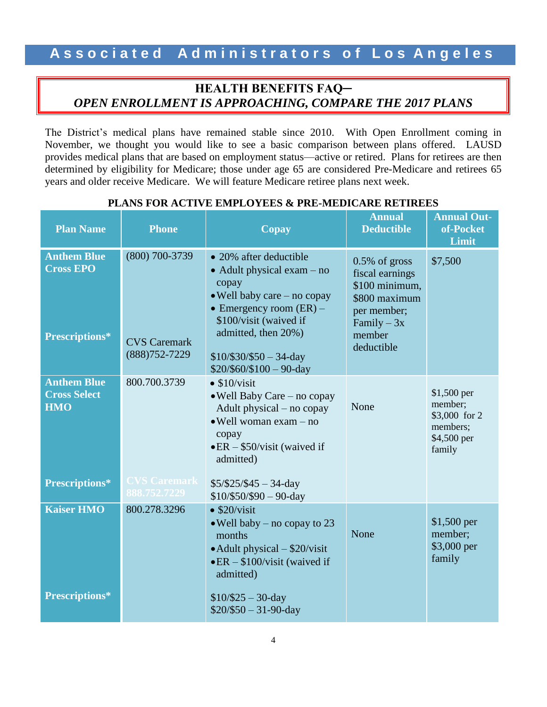### **HEALTH BENEFITS FAQ─** *OPEN ENROLLMENT IS APPROACHING, COMPARE THE 2017 PLANS*

The District's medical plans have remained stable since 2010. With Open Enrollment coming in November, we thought you would like to see a basic comparison between plans offered. LAUSD provides medical plans that are based on employment status—active or retired. Plans for retirees are then determined by eligibility for Medicare; those under age 65 are considered Pre-Medicare and retirees 65 years and older receive Medicare. We will feature Medicare retiree plans next week.

| <b>Plan Name</b>                                                                 | <b>Phone</b>                                               | Copay                                                                                                                                                                                                                                                   | <b>Annual</b><br><b>Deductible</b>                                                                                            | <b>Annual Out-</b><br>of-Pocket<br>Limit                                      |
|----------------------------------------------------------------------------------|------------------------------------------------------------|---------------------------------------------------------------------------------------------------------------------------------------------------------------------------------------------------------------------------------------------------------|-------------------------------------------------------------------------------------------------------------------------------|-------------------------------------------------------------------------------|
| <b>Anthem Blue</b><br><b>Cross EPO</b><br>Prescriptions*                         | (800) 700-3739<br><b>CVS Caremark</b><br>$(888)752 - 7229$ | • 20% after deductible<br>$\bullet$ Adult physical exam – no<br>copay<br>. Well baby care - no copay<br>• Emergency room $(ER)$ –<br>\$100/visit (waived if<br>admitted, then 20%)<br>$$10/\$30/\$50 - 34$ -day<br>$$20/$60/$100 - 90-day$              | $0.5\%$ of gross<br>fiscal earnings<br>\$100 minimum,<br>\$800 maximum<br>per member;<br>Family $-3x$<br>member<br>deductible | \$7,500                                                                       |
| <b>Anthem Blue</b><br><b>Cross Select</b><br><b>HMO</b><br><b>Prescriptions*</b> | 800.700.3739<br><b>CVS Caremark</b><br>888.752.7229        | $\bullet$ \$10/visit<br>$\bullet$ Well Baby Care – no copay<br>Adult physical – no copay<br>$\bullet$ Well woman exam - no<br>copay<br>$\bullet$ ER - \$50/visit (waived if<br>admitted)<br>$$5/\$25/\$45 - 34$ -day                                    | None                                                                                                                          | $$1,500$ per<br>member:<br>\$3,000 for 2<br>members;<br>\$4,500 per<br>family |
| <b>Kaiser HMO</b><br>Prescriptions*                                              | 800.278.3296                                               | $$10/\$50/\$90 - 90$ -day<br>$\bullet$ \$20/visit<br>$\bullet$ Well baby – no copay to 23<br>months<br>$\bullet$ Adult physical $-$ \$20/visit<br>$\bullet$ ER – \$100/visit (waived if<br>admitted)<br>$$10/\$25 - 30$ -day<br>$$20/\$50 - 31-90$ -day | None                                                                                                                          | \$1,500 per<br>member;<br>\$3,000 per<br>family                               |

#### **PLANS FOR ACTIVE EMPLOYEES & PRE-MEDICARE RETIREES**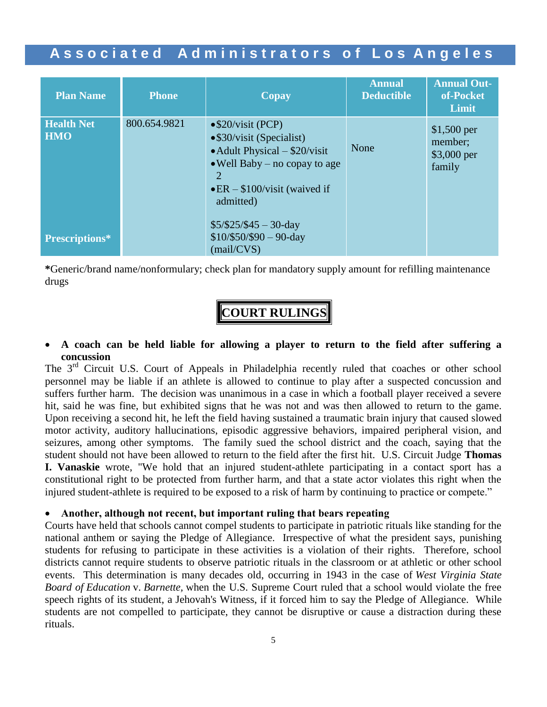| <b>Plan Name</b>                | <b>Phone</b> | Copay                                                                                                                                                                                                        | <b>Annual</b><br><b>Deductible</b> | <b>Annual Out-</b><br>of-Pocket<br>Limit         |
|---------------------------------|--------------|--------------------------------------------------------------------------------------------------------------------------------------------------------------------------------------------------------------|------------------------------------|--------------------------------------------------|
| <b>Health Net</b><br><b>HMO</b> | 800.654.9821 | $\bullet$ \$20/visit (PCP)<br>$\bullet$ \$30/visit (Specialist)<br>$\bullet$ Adult Physical – \$20/visit<br>$\bullet$ Well Baby – no copay to age<br>2<br>$\bullet$ ER – \$100/visit (waived if<br>admitted) | None                               | $$1,500$ per<br>member;<br>\$3,000 per<br>family |
| <b>Prescriptions*</b>           |              | $$5/\$25/\$45 - 30$ -day<br>$$10/\$50/\$90 - 90$ -day<br>(mail/CVS)                                                                                                                                          |                                    |                                                  |

**\***Generic/brand name/nonformulary; check plan for mandatory supply amount for refilling maintenance drugs

# **COURT RULINGS**

#### **A coach can be held liable for allowing a player to return to the field after suffering a concussion**

The 3<sup>rd</sup> Circuit U.S. Court of Appeals in Philadelphia recently ruled that coaches or other school personnel may be liable if an athlete is allowed to continue to play after a suspected concussion and suffers further harm. The decision was unanimous in a case in which a football player received a severe hit, said he was fine, but exhibited signs that he was not and was then allowed to return to the game. Upon receiving a second hit, he left the field having sustained a traumatic brain injury that caused slowed motor activity, auditory hallucinations, episodic aggressive behaviors, impaired peripheral vision, and seizures, among other symptoms. The family sued the school district and the coach, saying that the student should not have been allowed to return to the field after the first hit. U.S. Circuit Judge **Thomas I. Vanaskie** wrote, "We hold that an injured student-athlete participating in a contact sport has a constitutional right to be protected from further harm, and that a state actor violates this right when the injured student-athlete is required to be exposed to a risk of harm by continuing to practice or compete."

#### **Another, although not recent, but important ruling that bears repeating**

Courts have held that schools cannot compel students to participate in patriotic rituals like standing for the national anthem or saying the Pledge of Allegiance. Irrespective of what the president says, punishing students for refusing to participate in these activities is a violation of their rights. Therefore, school districts cannot require students to observe patriotic rituals in the classroom or at athletic or other school events. This determination is many decades old, occurring in 1943 in the case of *West Virginia State Board of Education* v. *Barnette,* when the U.S. Supreme Court ruled that a school would violate the free speech rights of its student, a Jehovah's Witness, if it forced him to say the Pledge of Allegiance. While students are not compelled to participate, they cannot be disruptive or cause a distraction during these rituals.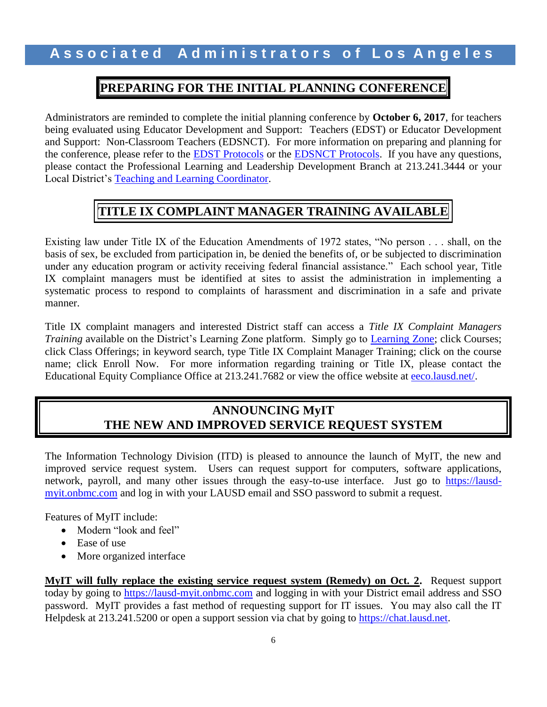## **PREPARING FOR THE INITIAL PLANNING CONFERENCE**

Administrators are reminded to complete the initial planning conference by **October 6, 2017**, for teachers being evaluated using Educator Development and Support: Teachers (EDST) or Educator Development and Support: Non-Classroom Teachers (EDSNCT). For more information on preparing and planning for the conference, please refer to the [EDST Protocols](https://achieve.lausd.net/cms/lib08/CA01000043/Centricity/Domain/433/EDST%20Observation%20Protocols.pdf) or the [EDSNCT Protocols.](https://achieve.lausd.net/cms/lib/CA01000043/Centricity/Domain/433/Non-Classroom%20Teachers%20Protocols.pdf) If you have any questions, please contact the Professional Learning and Leadership Development Branch at 213.241.3444 or your Local District's [Teaching and Learning Coordinator.](http://achieve.lausd.net/cms/lib08/CA01000043/Centricity/Domain/433/TLC%20Contact%20List.pdf)

# **TITLE IX COMPLAINT MANAGER TRAINING AVAILABLE**

Existing law under Title IX of the Education Amendments of 1972 states, "No person . . . shall, on the basis of sex, be excluded from participation in, be denied the benefits of, or be subjected to discrimination under any education program or activity receiving federal financial assistance." Each school year, Title IX complaint managers must be identified at sites to assist the administration in implementing a systematic process to respond to complaints of harassment and discrimination in a safe and private manner.

Title IX complaint managers and interested District staff can access a *Title IX Complaint Managers Training* available on the District's Learning Zone platform. Simply go to [Learning Zone;](http://lz.lausd.net/lz/home.jsp) click Courses; click Class Offerings; in keyword search, type Title IX Complaint Manager Training; click on the course name; click Enroll Now. For more information regarding training or Title IX, please contact the Educational Equity Compliance Office at 213.241.7682 or view the office website at [eeco.lausd.net/.](https://achieve.lausd.net/Page/3494)

### **ANNOUNCING MyIT THE NEW AND IMPROVED SERVICE REQUEST SYSTEM**

The Information Technology Division (ITD) is pleased to announce the launch of MyIT, the new and improved service request system. Users can request support for computers, software applications, network, payroll, and many other issues through the easy-to-use interface. Just go to [https://lausd](https://lausd-myit.onbmc.com/)[myit.onbmc.com](https://lausd-myit.onbmc.com/) and log in with your LAUSD email and SSO password to submit a request.

Features of MyIT include:

- Modern "look and feel"
- Ease of use
- More organized interface

**MyIT will fully replace the existing service request system (Remedy) on Oct. 2.** Request support today by going to [https://lausd-myit.onbmc.com](https://lausd-myit.onbmc.com/) and logging in with your District email address and SSO password. MyIT provides a fast method of requesting support for IT issues. You may also call the IT Helpdesk at 213.241.5200 or open a support session via chat by going to [https://chat.lausd.net.](https://chat.lausd.net/)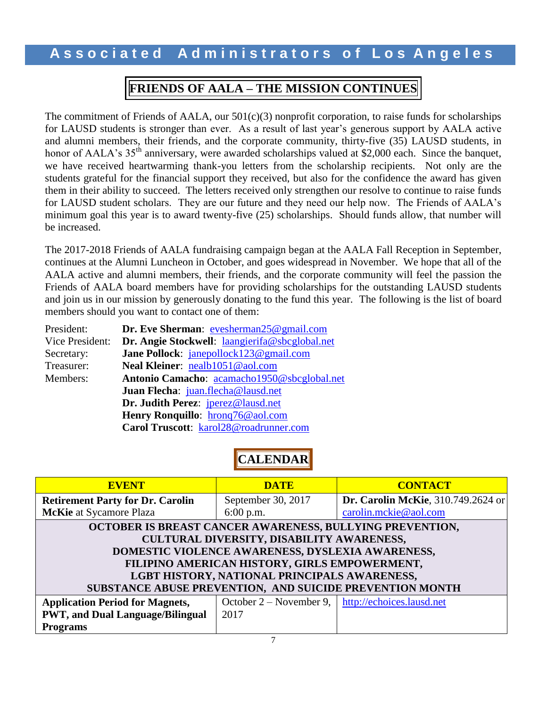## **FRIENDS OF AALA – THE MISSION CONTINUES**

The commitment of Friends of AALA, our  $501(c)(3)$  nonprofit corporation, to raise funds for scholarships for LAUSD students is stronger than ever. As a result of last year's generous support by AALA active and alumni members, their friends, and the corporate community, thirty-five (35) LAUSD students, in honor of AALA's 35<sup>th</sup> anniversary, were awarded scholarships valued at \$2,000 each. Since the banquet, we have received heartwarming thank-you letters from the scholarship recipients. Not only are the students grateful for the financial support they received, but also for the confidence the award has given them in their ability to succeed. The letters received only strengthen our resolve to continue to raise funds for LAUSD student scholars. They are our future and they need our help now. The Friends of AALA's minimum goal this year is to award twenty-five (25) scholarships. Should funds allow, that number will be increased.

The 2017-2018 Friends of AALA fundraising campaign began at the AALA Fall Reception in September, continues at the Alumni Luncheon in October, and goes widespread in November. We hope that all of the AALA active and alumni members, their friends, and the corporate community will feel the passion the Friends of AALA board members have for providing scholarships for the outstanding LAUSD students and join us in our mission by generously donating to the fund this year. The following is the list of board members should you want to contact one of them:

| President:      | Dr. Eve Sherman: evesherman25@gmail.com        |
|-----------------|------------------------------------------------|
| Vice President: | Dr. Angie Stockwell: laangierifa@sbcglobal.net |
| Secretary:      | Jane Pollock: janepollock123@gmail.com         |
| Treasurer:      | Neal Kleiner: nealb1051@aol.com                |
| Members:        | Antonio Camacho: acamacho1950@sbcglobal.net    |
|                 | Juan Flecha: juan.flecha@lausd.net             |
|                 | Dr. Judith Perez: jperez@lausd.net             |
|                 | Henry Ronquillo: hrong76@aol.com               |
|                 | Carol Truscott: karol28@roadrunner.com         |

# **CALENDAR**

| <b>EVENT</b>                                             | <b>DATE</b>               | <b>CONTACT</b>                             |  |  |  |
|----------------------------------------------------------|---------------------------|--------------------------------------------|--|--|--|
| <b>Retirement Party for Dr. Carolin</b>                  | September 30, 2017        | <b>Dr. Carolin McKie</b> , 310.749.2624 or |  |  |  |
| <b>McKie</b> at Sycamore Plaza                           | $6:00$ p.m.               | carolin.mckie@aol.com                      |  |  |  |
| OCTOBER IS BREAST CANCER AWARENESS, BULLYING PREVENTION, |                           |                                            |  |  |  |
| CULTURAL DIVERSITY, DISABILITY AWARENESS,                |                           |                                            |  |  |  |
| DOMESTIC VIOLENCE AWARENESS, DYSLEXIA AWARENESS,         |                           |                                            |  |  |  |
| FILIPINO AMERICAN HISTORY, GIRLS EMPOWERMENT,            |                           |                                            |  |  |  |
| LGBT HISTORY, NATIONAL PRINCIPALS AWARENESS,             |                           |                                            |  |  |  |
| SUBSTANCE ABUSE PREVENTION, AND SUICIDE PREVENTION MONTH |                           |                                            |  |  |  |
| <b>Application Period for Magnets,</b>                   | October $2 -$ November 9, | http://echoices.lausd.net                  |  |  |  |
| <b>PWT, and Dual Language/Bilingual</b>                  | 2017                      |                                            |  |  |  |
| <b>Programs</b>                                          |                           |                                            |  |  |  |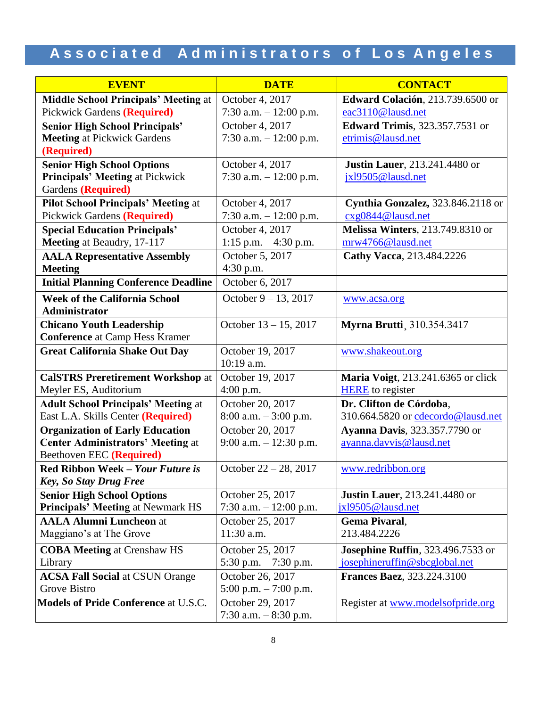| <b>EVENT</b>                                | <b>DATE</b>              | <b>CONTACT</b>                            |
|---------------------------------------------|--------------------------|-------------------------------------------|
| <b>Middle School Principals' Meeting at</b> | October 4, 2017          | Edward Colación, 213.739.6500 or          |
| <b>Pickwick Gardens (Required)</b>          | 7:30 a.m. $-12:00$ p.m.  | eac3110@lausd.net                         |
| <b>Senior High School Principals'</b>       | October 4, 2017          | <b>Edward Trimis</b> , 323.357.7531 or    |
| <b>Meeting at Pickwick Gardens</b>          | 7:30 a.m. $- 12:00$ p.m. | etrimis@lausd.net                         |
| (Required)                                  |                          |                                           |
| <b>Senior High School Options</b>           | October 4, 2017          | <b>Justin Lauer</b> , 213.241.4480 or     |
| Principals' Meeting at Pickwick             | 7:30 a.m. $- 12:00$ p.m. | jxl9505@lausd.net                         |
| Gardens (Required)                          |                          |                                           |
| <b>Pilot School Principals' Meeting at</b>  | October 4, 2017          | Cynthia Gonzalez, 323.846.2118 or         |
| <b>Pickwick Gardens (Required)</b>          | 7:30 a.m. $-12:00$ p.m.  | cxg0844@lausd.net                         |
| <b>Special Education Principals'</b>        | October 4, 2017          | <b>Melissa Winters</b> , 213.749.8310 or  |
| Meeting at Beaudry, 17-117                  | $1:15$ p.m. $-4:30$ p.m. | mrw4766@lausd.net                         |
| <b>AALA Representative Assembly</b>         | October 5, 2017          | Cathy Vacca, 213.484.2226                 |
| <b>Meeting</b>                              | 4:30 p.m.                |                                           |
| <b>Initial Planning Conference Deadline</b> | October 6, 2017          |                                           |
| <b>Week of the California School</b>        | October $9 - 13$ , 2017  | www.acsa.org                              |
| Administrator                               |                          |                                           |
| <b>Chicano Youth Leadership</b>             | October $13 - 15$ , 2017 | <b>Myrna Brutti</b> , 310.354.3417        |
| <b>Conference</b> at Camp Hess Kramer       |                          |                                           |
| <b>Great California Shake Out Day</b>       | October 19, 2017         | www.shakeout.org                          |
|                                             | 10:19 a.m.               |                                           |
| <b>CalSTRS Preretirement Workshop at</b>    | October 19, 2017         | Maria Voigt, 213.241.6365 or click        |
| Meyler ES, Auditorium                       | 4:00 p.m.                | <b>HERE</b> to register                   |
| <b>Adult School Principals' Meeting at</b>  | October 20, 2017         | Dr. Clifton de Córdoba,                   |
| East L.A. Skills Center (Required)          | $8:00$ a.m. $-3:00$ p.m. | 310.664.5820 or cdecordo@lausd.net        |
| <b>Organization of Early Education</b>      | October 20, 2017         | <b>Ayanna Davis</b> , 323.357.7790 or     |
| <b>Center Administrators' Meeting at</b>    | 9:00 a.m. $-12:30$ p.m.  | ayanna.davvis@lausd.net                   |
| Beethoven EEC (Required)                    |                          |                                           |
| Red Ribbon Week - Your Future is            | October $22 - 28$ , 2017 | www.redribbon.org                         |
| <b>Key, So Stay Drug Free</b>               |                          |                                           |
| <b>Senior High School Options</b>           | October 25, 2017         | <b>Justin Lauer</b> , 213.241.4480 or     |
| Principals' Meeting at Newmark HS           | 7:30 a.m. $-12:00$ p.m.  | jx19505@lausd.net                         |
| <b>AALA Alumni Luncheon at</b>              | October 25, 2017         | Gema Pivaral,                             |
| Maggiano's at The Grove                     | 11:30 a.m.               | 213.484.2226                              |
| <b>COBA Meeting at Crenshaw HS</b>          | October 25, 2017         | <b>Josephine Ruffin</b> , 323.496.7533 or |
| Library                                     | 5:30 p.m. $-7:30$ p.m.   | josephineruffin@sbcglobal.net             |
| <b>ACSA Fall Social at CSUN Orange</b>      | October 26, 2017         | <b>Frances Baez</b> , 323.224.3100        |
| Grove Bistro                                | 5:00 p.m. $-7:00$ p.m.   |                                           |
| <b>Models of Pride Conference at U.S.C.</b> | October 29, 2017         | Register at www.modelsofpride.org         |
|                                             | 7:30 a.m. $-8:30$ p.m.   |                                           |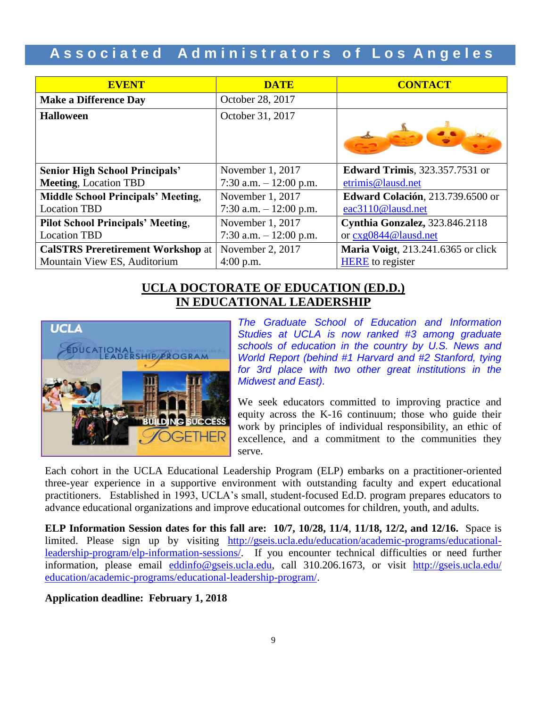| <b>EVENT</b>                              | <b>DATE</b>             | <b>CONTACT</b>                         |
|-------------------------------------------|-------------------------|----------------------------------------|
| <b>Make a Difference Day</b>              | October 28, 2017        |                                        |
| <b>Halloween</b>                          | October 31, 2017        |                                        |
| <b>Senior High School Principals'</b>     | November 1, 2017        | <b>Edward Trimis</b> , 323.357.7531 or |
| <b>Meeting, Location TBD</b>              | 7:30 a.m. $-12:00$ p.m. | etrimis@lausd.net                      |
| <b>Middle School Principals' Meeting,</b> | November 1, 2017        | Edward Colación, 213.739.6500 or       |
| <b>Location TBD</b>                       | 7:30 a.m. $-12:00$ p.m. | eac3110@lausd.net                      |
| <b>Pilot School Principals' Meeting,</b>  | November 1, 2017        | Cynthia Gonzalez, 323.846.2118         |
| <b>Location TBD</b>                       | 7:30 a.m. $-12:00$ p.m. | or cxg0844@lausd.net                   |
| <b>CalSTRS Preretirement Workshop at</b>  | November 2, 2017        | Maria Voigt, 213.241.6365 or click     |
| Mountain View ES, Auditorium              | $4:00$ p.m.             | <b>HERE</b> to register                |

#### **UCLA DOCTORATE OF EDUCATION (ED.D.) IN EDUCATIONAL LEADERSHIP**



*The Graduate School of Education and Information Studies at UCLA is now ranked #3 among graduate schools of education in the country by U.S. News and World Report (behind #1 Harvard and #2 Stanford, tying for 3rd place with two other great institutions in the Midwest and East).*

We seek educators committed to improving practice and equity across the K-16 continuum; those who guide their work by principles of individual responsibility, an ethic of excellence, and a commitment to the communities they serve.

Each cohort in the UCLA Educational Leadership Program (ELP) embarks on a practitioner-oriented three-year experience in a supportive environment with outstanding faculty and expert educational practitioners. Established in 1993, UCLA's small, student-focused Ed.D. program prepares educators to advance educational organizations and improve educational outcomes for children, youth, and adults.

**ELP Information Session dates for this fall are: 10/7, 10/28, 11/4**, **11/18, 12/2, and 12/16.** Space is limited. Please sign up by visiting [http://gseis.ucla.edu/education/academic-programs/educational](http://gseis.ucla.edu/education/academic-programs/educational-leadership-program/elp-information-sessions/)[leadership-program/elp-information-sessions/.](http://gseis.ucla.edu/education/academic-programs/educational-leadership-program/elp-information-sessions/) If you encounter technical difficulties or need further information, please email [eddinfo@gseis.ucla.edu,](mailto:eddinfo@gseis.ucla.edu) call 310.206.1673, or visit [http://gseis.ucla.edu/](http://gseis.ucla.edu/%20education/academic-programs/educational-leadership-program/)  [education/academic-programs/educational-leadership-program/.](http://gseis.ucla.edu/%20education/academic-programs/educational-leadership-program/)

**Application deadline: February 1, 2018**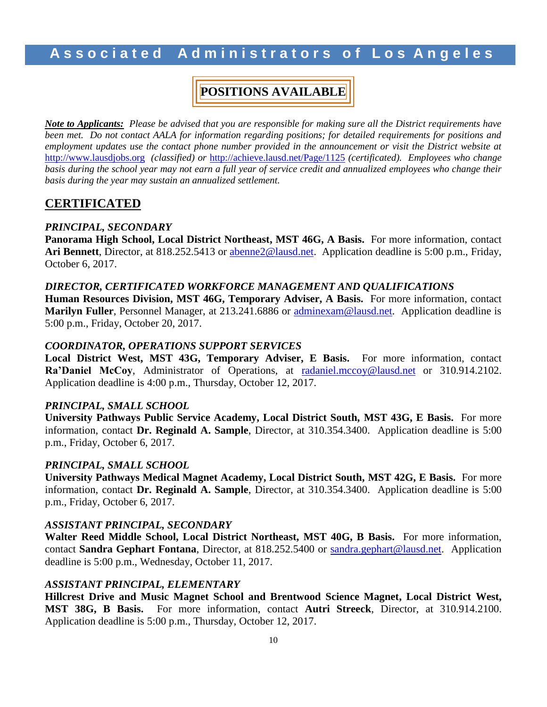# **POSITIONS AVAILABLE**

*Note to Applicants: Please be advised that you are responsible for making sure all the District requirements have been met. Do not contact AALA for information regarding positions; for detailed requirements for positions and employment updates use the contact phone number provided in the announcement or visit the District website at*  [http://www.lausdjobs.org](http://www.lausdjobs.org/) *(classified) or* <http://achieve.lausd.net/Page/1125> *(certificated). Employees who change basis during the school year may not earn a full year of service credit and annualized employees who change their basis during the year may sustain an annualized settlement.*

#### **CERTIFICATED**

#### *PRINCIPAL, SECONDARY*

**Panorama High School, Local District Northeast, MST 46G, A Basis.** For more information, contact **Ari Bennett**, Director, at 818.252.5413 or [abenne2@lausd.net.](mailto:abenne2@lausd.net) Application deadline is 5:00 p.m., Friday, October 6, 2017.

#### *DIRECTOR, CERTIFICATED WORKFORCE MANAGEMENT AND QUALIFICATIONS*

**Human Resources Division, MST 46G, Temporary Adviser, A Basis.** For more information, contact **Marilyn Fuller**, Personnel Manager, at 213.241.6886 or [adminexam@lausd.net.](mailto:adminexam@lausd.net) Application deadline is 5:00 p.m., Friday, October 20, 2017.

#### *COORDINATOR, OPERATIONS SUPPORT SERVICES*

**Local District West, MST 43G, Temporary Adviser, E Basis.** For more information, contact **Ra'Daniel McCoy**, Administrator of Operations, at [radaniel.mccoy@lausd.net](mailto:radaniel.mccoy@lausd.net) or 310.914.2102. Application deadline is 4:00 p.m., Thursday, October 12, 2017.

#### *PRINCIPAL, SMALL SCHOOL*

**University Pathways Public Service Academy, Local District South, MST 43G, E Basis.** For more information, contact **Dr. Reginald A. Sample**, Director, at 310.354.3400. Application deadline is 5:00 p.m., Friday, October 6, 2017.

#### *PRINCIPAL, SMALL SCHOOL*

**University Pathways Medical Magnet Academy, Local District South, MST 42G, E Basis.** For more information, contact **Dr. Reginald A. Sample**, Director, at 310.354.3400. Application deadline is 5:00 p.m., Friday, October 6, 2017.

#### *ASSISTANT PRINCIPAL, SECONDARY*

**Walter Reed Middle School, Local District Northeast, MST 40G, B Basis.** For more information, contact **Sandra Gephart Fontana**, Director, at 818.252.5400 or [sandra.gephart@lausd.net.](mailto:sandra.gephart@lausd.net) Application deadline is 5:00 p.m., Wednesday, October 11, 2017.

#### *ASSISTANT PRINCIPAL, ELEMENTARY*

**Hillcrest Drive and Music Magnet School and Brentwood Science Magnet, Local District West, MST 38G, B Basis.** For more information, contact **Autri Streeck**, Director, at 310.914.2100. Application deadline is 5:00 p.m., Thursday, October 12, 2017.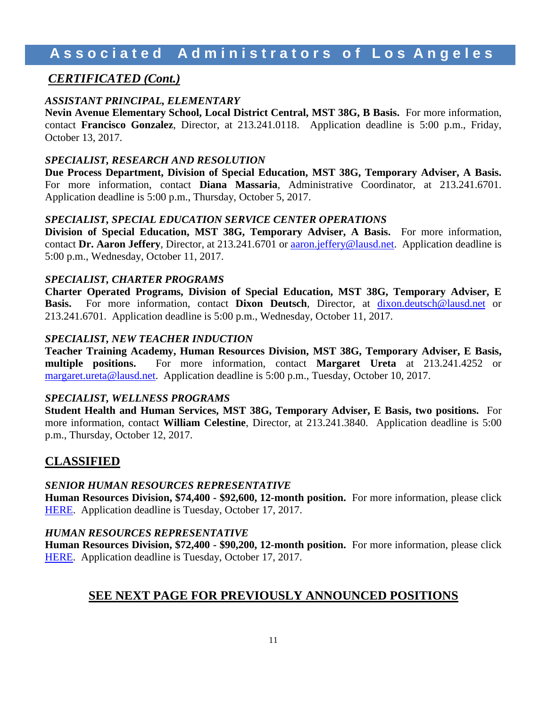#### *CERTIFICATED (Cont.)*

#### *ASSISTANT PRINCIPAL, ELEMENTARY*

**Nevin Avenue Elementary School, Local District Central, MST 38G, B Basis.** For more information, contact **Francisco Gonzalez**, Director, at 213.241.0118. Application deadline is 5:00 p.m., Friday, October 13, 2017.

#### *SPECIALIST, RESEARCH AND RESOLUTION*

**Due Process Department, Division of Special Education, MST 38G, Temporary Adviser, A Basis.**  For more information, contact **Diana Massaria**, Administrative Coordinator, at 213.241.6701. Application deadline is 5:00 p.m., Thursday, October 5, 2017.

#### *SPECIALIST, SPECIAL EDUCATION SERVICE CENTER OPERATIONS*

**Division of Special Education, MST 38G, Temporary Adviser, A Basis.** For more information, contact **Dr. Aaron Jeffery**, Director, at 213.241.6701 or **aaron.jeffery@lausd.net.** Application deadline is 5:00 p.m., Wednesday, October 11, 2017.

#### *SPECIALIST, CHARTER PROGRAMS*

**Charter Operated Programs, Division of Special Education, MST 38G, Temporary Adviser, E**  Basis. For more information, contact Dixon Deutsch, Director, at [dixon.deutsch@lausd.net](mailto:dixon.deutsch@lausd.net) or 213.241.6701. Application deadline is 5:00 p.m., Wednesday, October 11, 2017.

#### *SPECIALIST, NEW TEACHER INDUCTION*

**Teacher Training Academy, Human Resources Division, MST 38G, Temporary Adviser, E Basis, multiple positions.** For more information, contact **Margaret Ureta** at 213.241.4252 or [margaret.ureta@lausd.net.](mailto:margaret.ureta@lausd.net) Application deadline is 5:00 p.m., Tuesday, October 10, 2017.

#### *SPECIALIST, WELLNESS PROGRAMS*

**Student Health and Human Services, MST 38G, Temporary Adviser, E Basis, two positions.** For more information, contact **William Celestine**, Director, at 213.241.3840. Application deadline is 5:00 p.m., Thursday, October 12, 2017.

#### **CLASSIFIED**

#### *SENIOR HUMAN RESOURCES REPRESENTATIVE*

**Human Resources Division, \$74,400 - \$92,600, 12-month position.** For more information, please click [HERE.](https://btserec.lausd.net/sap/bc/webdynpro/sap/zerwd_a_refcode_srch_int?sap-client=910) Application deadline is Tuesday, October 17, 2017.

#### *HUMAN RESOURCES REPRESENTATIVE*

**Human Resources Division, \$72,400 - \$90,200, 12-month position.** For more information, please click [HERE.](https://btserec.lausd.net/sap/bc/webdynpro/sap/zerwd_a_refcode_srch_int?sap-client=910) Application deadline is Tuesday, October 17, 2017.

#### **SEE NEXT PAGE FOR PREVIOUSLY ANNOUNCED POSITIONS**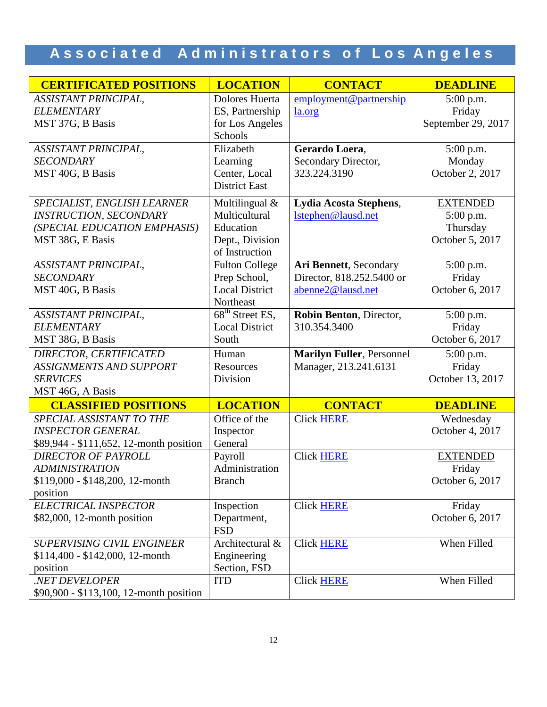| <b>CERTIFICATED POSITIONS</b>           | <b>LOCATION</b>                 | <b>CONTACT</b>                   | <b>DEADLINE</b>    |
|-----------------------------------------|---------------------------------|----------------------------------|--------------------|
| ASSISTANT PRINCIPAL,                    | Dolores Huerta                  | employment@partnership           | 5:00 p.m.          |
| <b>ELEMENTARY</b>                       | ES, Partnership                 | <u>la.org</u>                    | Friday             |
| MST 37G, B Basis                        | for Los Angeles                 |                                  | September 29, 2017 |
|                                         | Schools                         |                                  |                    |
| <b>ASSISTANT PRINCIPAL,</b>             | Elizabeth                       | Gerardo Loera,                   | 5:00 p.m.          |
| <b>SECONDARY</b>                        | Learning                        | Secondary Director,              | Monday             |
| MST 40G, B Basis                        | Center, Local                   | 323.224.3190                     | October 2, 2017    |
|                                         | <b>District East</b>            |                                  |                    |
| SPECIALIST, ENGLISH LEARNER             | Multilingual &                  | Lydia Acosta Stephens,           | <b>EXTENDED</b>    |
| <b>INSTRUCTION, SECONDARY</b>           | Multicultural                   | Istephen@lausd.net               | 5:00 p.m.          |
| (SPECIAL EDUCATION EMPHASIS)            | Education                       |                                  | Thursday           |
| MST 38G, E Basis                        | Dept., Division                 |                                  | October 5, 2017    |
|                                         | of Instruction                  |                                  |                    |
| <b>ASSISTANT PRINCIPAL,</b>             | <b>Fulton College</b>           | Ari Bennett, Secondary           | 5:00 p.m.          |
| <b>SECONDARY</b>                        | Prep School,                    | Director, 818.252.5400 or        | Friday             |
| MST 40G, B Basis                        | <b>Local District</b>           | abenne2@lausd.net                | October 6, 2017    |
|                                         | Northeast                       |                                  |                    |
| <b>ASSISTANT PRINCIPAL,</b>             | $\overline{68^{th}}$ Street ES, | Robin Benton, Director,          | 5:00 p.m.          |
| <b>ELEMENTARY</b>                       | <b>Local District</b>           | 310.354.3400                     | Friday             |
| MST 38G, B Basis                        | South                           |                                  | October 6, 2017    |
| DIRECTOR, CERTIFICATED                  | Human                           | <b>Marilyn Fuller, Personnel</b> | 5:00 p.m.          |
| <b>ASSIGNMENTS AND SUPPORT</b>          | Resources                       | Manager, 213.241.6131            | Friday             |
| <b>SERVICES</b>                         | Division                        |                                  | October 13, 2017   |
| MST 46G, A Basis                        |                                 |                                  |                    |
| <b>CLASSIFIED POSITIONS</b>             | <b>LOCATION</b>                 | <b>CONTACT</b>                   | <b>DEADLINE</b>    |
| SPECIAL ASSISTANT TO THE                | Office of the                   | Click HERE                       | Wednesday          |
| <b>INSPECTOR GENERAL</b>                | Inspector                       |                                  | October 4, 2017    |
| \$89,944 - \$111,652, 12-month position | General                         |                                  |                    |
| <b>DIRECTOR OF PAYROLL</b>              | Payroll                         | <b>Click HERE</b>                | <b>EXTENDED</b>    |
| <b>ADMINISTRATION</b>                   | Administration                  |                                  | Friday             |
| \$119,000 - \$148,200, 12-month         | <b>Branch</b>                   |                                  | October 6, 2017    |
| position                                |                                 |                                  |                    |
| ELECTRICAL INSPECTOR                    | Inspection                      | <b>Click HERE</b>                | Friday             |
| $$82,000, 12$ -month position           | Department,<br><b>FSD</b>       |                                  | October 6, 2017    |
| <b>SUPERVISING CIVIL ENGINEER</b>       | Architectural &                 | <b>Click HERE</b>                | When Filled        |
| $$114,400 - $142,000, 12$ -month        | Engineering                     |                                  |                    |
| position                                | Section, FSD                    |                                  |                    |
| .NET DEVELOPER                          | <b>ITD</b>                      | <b>Click HERE</b>                | When Filled        |
| \$90,900 - \$113,100, 12-month position |                                 |                                  |                    |